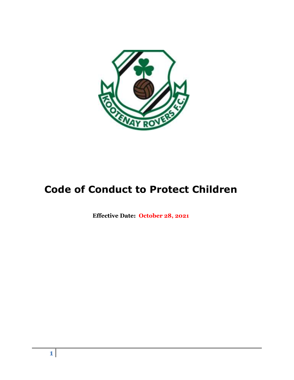

# **Code of Conduct to Protect Children**

**Effective Date: October 28, 2021**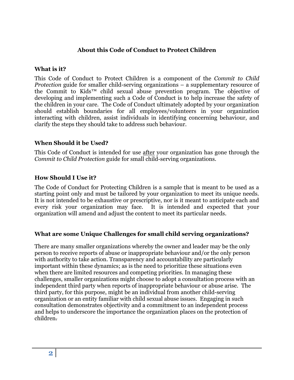### **About this Code of Conduct to Protect Children**

#### **What is it?**

This Code of Conduct to Protect Children is a component of the *Commit to Child Protection* guide for smaller child-serving organizations – a supplementary resource of the Commit to Kids™ child sexual abuse prevention program. The objective of developing and implementing such a Code of Conduct is to help increase the safety of the children in your care. The Code of Conduct ultimately adopted by your organization should establish boundaries for all employees/volunteers in your organization interacting with children, assist individuals in identifying concerning behaviour, and clarify the steps they should take to address such behaviour.

#### **When Should it be Used?**

This Code of Conduct is intended for use after your organization has gone through the *Commit to Child Protection* guide for small child-serving organizations.

### **How Should I Use it?**

The Code of Conduct for Protecting Children is a sample that is meant to be used as a starting point only and must be tailored by your organization to meet its unique needs. It is not intended to be exhaustive or prescriptive, nor is it meant to anticipate each and every risk your organization may face. It is intended and expected that your organization will amend and adjust the content to meet its particular needs.

#### **What are some Unique Challenges for small child serving organizations?**

There are many smaller organizations whereby the owner and leader may be the only person to receive reports of abuse or inappropriate behaviour and/or the only person with authority to take action. Transparency and accountability are particularly important within these dynamics; as is the need to prioritize these situations even when there are limited resources and competing priorities. In managing these challenges, smaller organizations might choose to adopt a consultation process with an independent third party when reports of inappropriate behaviour or abuse arise. The third party, for this purpose, might be an individual from another child-serving organization or an entity familiar with child sexual abuse issues. Engaging in such consultation demonstrates objectivity and a commitment to an independent process and helps to underscore the importance the organization places on the protection of children.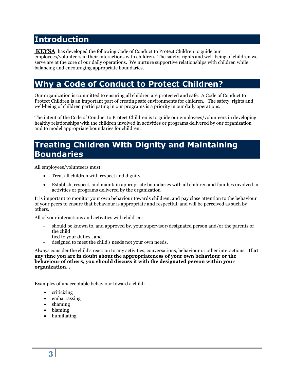## **Introduction**

**KEYSA** has developed the following Code of Conduct to Protect Children to guide our employees/volunteers in their interactions with children. The safety, rights and well-being of children we serve are at the core of our daily operations. We nurture supportive relationships with children while balancing and encouraging appropriate boundaries.

## **Why a Code of Conduct to Protect Children?**

Our organization is committed to ensuring all children are protected and safe. A Code of Conduct to Protect Children is an important part of creating safe environments for children. The safety, rights and well-being of children participating in our programs is a priority in our daily operations.

The intent of the Code of Conduct to Protect Children is to guide our employees/volunteers in developing healthy relationships with the children involved in activities or programs delivered by our organization and to model appropriate boundaries for children.

### **Treating Children With Dignity and Maintaining Boundaries**

All employees/volunteers must:

- Treat all children with respect and dignity
- Establish, respect, and maintain appropriate boundaries with all children and families involved in activities or programs delivered by the organization

It is important to monitor your own behaviour towards children, and pay close attention to the behaviour of your peers to ensure that behaviour is appropriate and respectful, and will be perceived as such by others.

All of your interactions and activities with children:

- should be known to, and approved by, your supervisor/designated person and/or the parents of the child
- tied to your duties , and
- designed to meet the child's needs not your own needs.

Always consider the child's reaction to any activities, conversations, behaviour or other interactions. **If at any time you are in doubt about the appropriateness of your own behaviour or the behaviour of others, you should discuss it with the designated person within your organization. .** 

Examples of unacceptable behaviour toward a child:

- criticizing
- embarrassing
- shaming
- blaming
- humiliating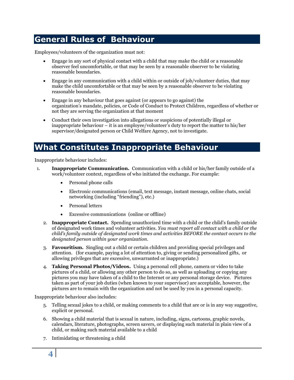### **General Rules of Behaviour**

Employees/volunteers of the organization must not:

- Engage in any sort of physical contact with a child that may make the child or a reasonable observer feel uncomfortable, or that may be seen by a reasonable observer to be violating reasonable boundaries.
- Engage in any communication with a child within or outside of job/volunteer duties, that may make the child uncomfortable or that may be seen by a reasonable observer to be violating reasonable boundaries.
- Engage in any behaviour that goes against (or appears to go against) the organization's mandate, policies, or Code of Conduct to Protect Children, regardless of whether or not they are serving the organization at that moment
- Conduct their own investigation into allegations or suspicions of potentially illegal or inappropriate behaviour – it is an employee/volunteer's duty to report the matter to his/her supervisor/designated person or Child Welfare Agency, not to investigate.

### **What Constitutes Inappropriate Behaviour**

Inappropriate behaviour includes:

- 1. **Inappropriate Communication.** Communication with a child or his/her family outside of a work/volunteer context, regardless of who initiated the exchange. For example:
	- Personal phone calls
	- Electronic communications (email, text message, instant message, online chats, social networking (including "friending"), etc.)
	- Personal letters
	- Excessive communications (online or offline)
	- 2. **Inappropriate Contact.** Spending unauthorized time with a child or the child's family outside of designated work times and volunteer activities. *You must report all contact with a child or the child's family outside of designated work times and activities BEFORE the contact occurs to the designated person within your organization.*
	- 3. **Favouritism.** Singling out a child or certain children and providing special privileges and attention. (for example, paying a lot of attention to, giving or sending personalized gifts, or allowing privileges that are excessive, unwarranted or inappropriate.)
	- 4. **Taking Personal Photos/Videos.** Using a personal cell phone, camera or video to take pictures of a child, or allowing any other person to do so, as well as uploading or copying any pictures you may have taken of a child to the Internet or any personal storage device. Pictures taken as part of your job duties (when known to your supervisor) are acceptable, however, the pictures are to remain with the organization and not be used by you in a personal capacity.

Inappropriate behaviour also includes:

- 5. Telling sexual jokes to a child, or making comments to a child that are or is in any way suggestive, explicit or personal.
- 6. Showing a child material that is sexual in nature, including, signs, cartoons, graphic novels, calendars, literature, photographs, screen savers, or displaying such material in plain view of a child, or making such material available to a child
- 7. Intimidating or threatening a child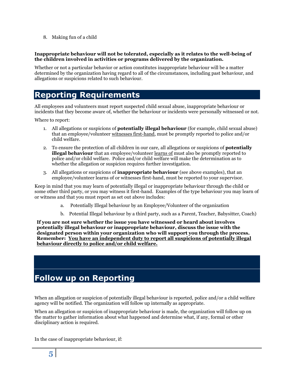8. Making fun of a child

#### **Inappropriate behaviour will not be tolerated, especially as it relates to the well-being of the children involved in activities or programs delivered by the organization.**

Whether or not a particular behavior or action constitutes inappropriate behaviour will be a matter determined by the organization having regard to all of the circumstances, including past behaviour, and allegations or suspicions related to such behaviour.

# **Reporting Requirements**

All employees and volunteers must report suspected child sexual abuse, inappropriate behaviour or incidents that they become aware of, whether the behaviour or incidents were personally witnessed or not.

Where to report:

- 1. All allegations or suspicions of **potentially illegal behaviour** (for example, child sexual abuse) that an employee/volunteer witnesses first-hand, must be promptly reported to police and/or child welfare.
- 2. To ensure the protection of all children in our care, all allegations or suspicions of **potentially illegal behaviour** that an employee/volunteer learns of must also be promptly reported to police and/or child welfare. Police and/or child welfare will make the determination as to whether the allegation or suspicion requires further investigation.
- 3. All allegations or suspicions of **inappropriate behaviour** (see above examples), that an employee/volunteer learns of or witnesses first-hand, must be reported to your supervisor.

Keep in mind that you may learn of potentially illegal or inappropriate behaviour through the child or some other third party, or you may witness it first-hand. Examples of the type behaviour you may learn of or witness and that you must report as set out above includes:

- a. Potentially Illegal behaviour by an Employee/Volunteer of the organization
- b. Potential Illegal behaviour by a third party, such as a Parent, Teacher, Babysitter, Coach)

**If you are not sure whether the issue you have witnessed or heard about involves potentially illegal behaviour or inappropriate behaviour, discuss the issue with the designated person within your organization who will support you through the process. Remember: You have an independent duty to report all suspicions of potentially illegal behaviour directly to police and/or child welfare.** 

# **Follow up on Reporting**

When an allegation or suspicion of potentially illegal behaviour is reported, police and/or a child welfare agency will be notified. The organization will follow up internally as appropriate.

When an allegation or suspicion of inappropriate behaviour is made, the organization will follow up on the matter to gather information about what happened and determine what, if any, formal or other disciplinary action is required.

In the case of inappropriate behaviour, if: